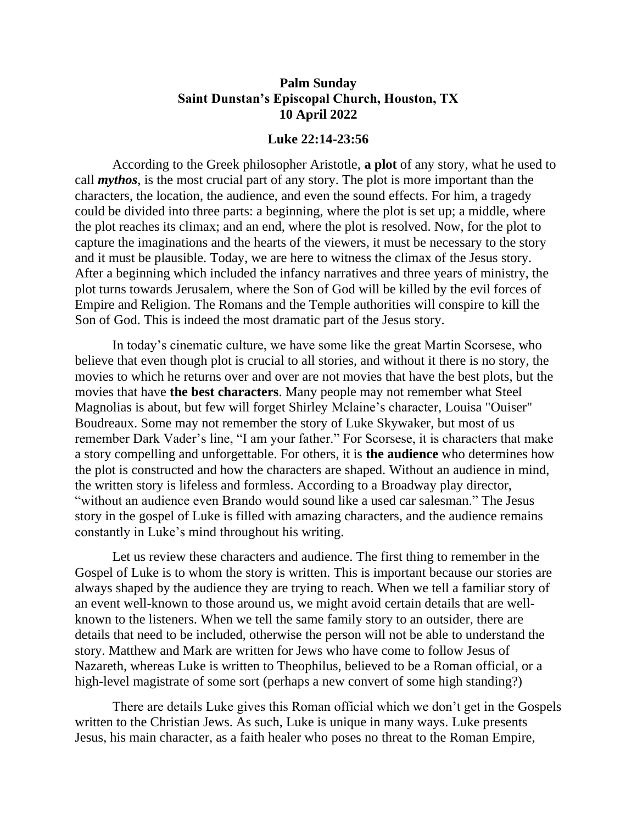## **Palm Sunday Saint Dunstan's Episcopal Church, Houston, TX 10 April 2022**

## **Luke 22:14-23:56**

According to the Greek philosopher Aristotle, **a plot** of any story, what he used to call *mythos*, is the most crucial part of any story. The plot is more important than the characters, the location, the audience, and even the sound effects. For him, a tragedy could be divided into three parts: a beginning, where the plot is set up; a middle, where the plot reaches its climax; and an end, where the plot is resolved. Now, for the plot to capture the imaginations and the hearts of the viewers, it must be necessary to the story and it must be plausible. Today, we are here to witness the climax of the Jesus story. After a beginning which included the infancy narratives and three years of ministry, the plot turns towards Jerusalem, where the Son of God will be killed by the evil forces of Empire and Religion. The Romans and the Temple authorities will conspire to kill the Son of God. This is indeed the most dramatic part of the Jesus story.

In today's cinematic culture, we have some like the great Martin Scorsese, who believe that even though plot is crucial to all stories, and without it there is no story, the movies to which he returns over and over are not movies that have the best plots, but the movies that have **the best characters**. Many people may not remember what Steel Magnolias is about, but few will forget Shirley Mclaine's character, Louisa "Ouiser" Boudreaux. Some may not remember the story of Luke Skywaker, but most of us remember Dark Vader's line, "I am your father." For Scorsese, it is characters that make a story compelling and unforgettable. For others, it is **the audience** who determines how the plot is constructed and how the characters are shaped. Without an audience in mind, the written story is lifeless and formless. According to a Broadway play director, "without an audience even Brando would sound like a used car salesman." The Jesus story in the gospel of Luke is filled with amazing characters, and the audience remains constantly in Luke's mind throughout his writing.

Let us review these characters and audience. The first thing to remember in the Gospel of Luke is to whom the story is written. This is important because our stories are always shaped by the audience they are trying to reach. When we tell a familiar story of an event well-known to those around us, we might avoid certain details that are wellknown to the listeners. When we tell the same family story to an outsider, there are details that need to be included, otherwise the person will not be able to understand the story. Matthew and Mark are written for Jews who have come to follow Jesus of Nazareth, whereas Luke is written to Theophilus, believed to be a Roman official, or a high-level magistrate of some sort (perhaps a new convert of some high standing?)

There are details Luke gives this Roman official which we don't get in the Gospels written to the Christian Jews. As such, Luke is unique in many ways. Luke presents Jesus, his main character, as a faith healer who poses no threat to the Roman Empire,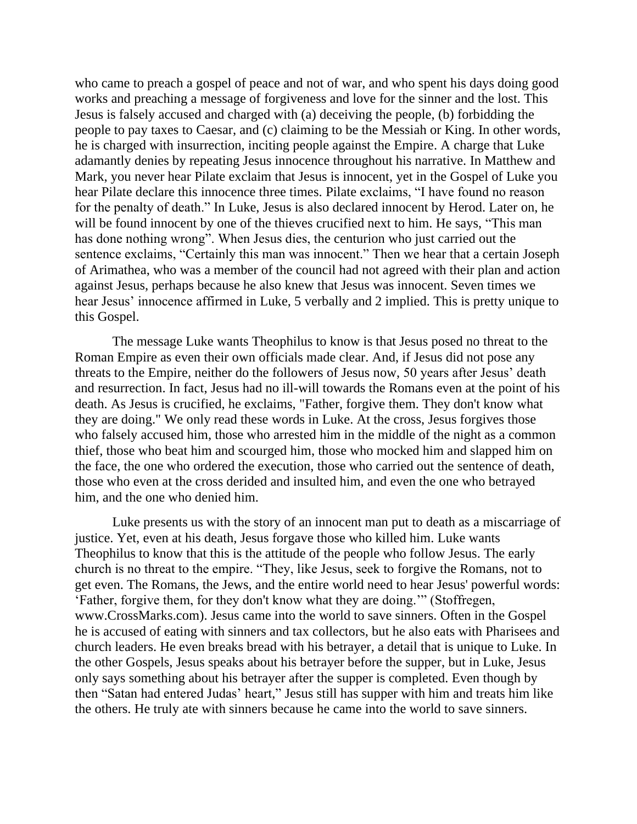who came to preach a gospel of peace and not of war, and who spent his days doing good works and preaching a message of forgiveness and love for the sinner and the lost. This Jesus is falsely accused and charged with (a) deceiving the people, (b) forbidding the people to pay taxes to Caesar, and (c) claiming to be the Messiah or King. In other words, he is charged with insurrection, inciting people against the Empire. A charge that Luke adamantly denies by repeating Jesus innocence throughout his narrative. In Matthew and Mark, you never hear Pilate exclaim that Jesus is innocent, yet in the Gospel of Luke you hear Pilate declare this innocence three times. Pilate exclaims, "I have found no reason for the penalty of death." In Luke, Jesus is also declared innocent by Herod. Later on, he will be found innocent by one of the thieves crucified next to him. He says, "This man has done nothing wrong". When Jesus dies, the centurion who just carried out the sentence exclaims, "Certainly this man was innocent." Then we hear that a certain Joseph of Arimathea, who was a member of the council had not agreed with their plan and action against Jesus, perhaps because he also knew that Jesus was innocent. Seven times we hear Jesus' innocence affirmed in Luke, 5 verbally and 2 implied. This is pretty unique to this Gospel.

The message Luke wants Theophilus to know is that Jesus posed no threat to the Roman Empire as even their own officials made clear. And, if Jesus did not pose any threats to the Empire, neither do the followers of Jesus now, 50 years after Jesus' death and resurrection. In fact, Jesus had no ill-will towards the Romans even at the point of his death. As Jesus is crucified, he exclaims, "Father, forgive them. They don't know what they are doing." We only read these words in Luke. At the cross, Jesus forgives those who falsely accused him, those who arrested him in the middle of the night as a common thief, those who beat him and scourged him, those who mocked him and slapped him on the face, the one who ordered the execution, those who carried out the sentence of death, those who even at the cross derided and insulted him, and even the one who betrayed him, and the one who denied him.

Luke presents us with the story of an innocent man put to death as a miscarriage of justice. Yet, even at his death, Jesus forgave those who killed him. Luke wants Theophilus to know that this is the attitude of the people who follow Jesus. The early church is no threat to the empire. "They, like Jesus, seek to forgive the Romans, not to get even. The Romans, the Jews, and the entire world need to hear Jesus' powerful words: 'Father, forgive them, for they don't know what they are doing.'" (Stoffregen, www.CrossMarks.com). Jesus came into the world to save sinners. Often in the Gospel he is accused of eating with sinners and tax collectors, but he also eats with Pharisees and church leaders. He even breaks bread with his betrayer, a detail that is unique to Luke. In the other Gospels, Jesus speaks about his betrayer before the supper, but in Luke, Jesus only says something about his betrayer after the supper is completed. Even though by then "Satan had entered Judas' heart," Jesus still has supper with him and treats him like the others. He truly ate with sinners because he came into the world to save sinners.